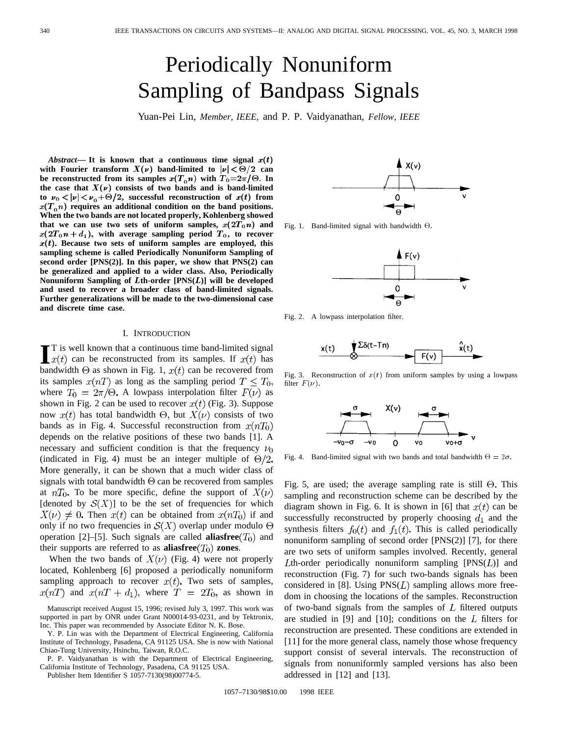# Periodically Nonuniform Sampling of Bandpass Signals

Yuan-Pei Lin, *Member, IEEE,* and P. P. Vaidyanathan, *Fellow, IEEE*

*Abstract*— It is known that a continuous time signal  $x(t)$ with Fourier transform  $X(\nu)$  band-limited to  $|\nu| < \Theta/2$  can be reconstructed from its samples  $x(T_0 n)$  with  $T_0=2\pi/$   $\Theta$ . In the case that  $X(\nu)$  consists of two bands and is band-limited to  $\nu_0 < |\nu| < \nu_0 + \Theta/2$ , successful reconstruction of  $x(t)$  from  $x(T_0n)$  requires an additional condition on the band positions. **When the two bands are not located properly, Kohlenberg showed** that we can use two sets of uniform samples,  $x(2T_0n)$  and  $x(2T_0n + d_1)$ , with average sampling period  $T_0$ , to recover  $x(t)$ . Because two sets of uniform samples are employed, this **sampling scheme is called Periodically Nonuniform Sampling of second order [PNS(2)]. In this paper, we show that PNS(2) can be generalized and applied to a wider class. Also, Periodically Nonuniform Sampling of** L**th-order [PNS(**L**)] will be developed and used to recover a broader class of band-limited signals. Further generalizations will be made to the two-dimensional case and discrete time case.**

#### I. INTRODUCTION

**I**T is well known that a continuous time band-limited signal  $x(t)$  can be reconstructed from its samples. If  $x(t)$  has bandwidth  $\Theta$  as shown in Fig. 1,  $x(t)$  can be recovered from T is well known that a continuous time band-limited signal  $x(t)$  can be reconstructed from its samples. If  $x(t)$  has its samples  $x(nT)$  as long as the sampling period  $T \leq T_0$ , where  $T_0 = 2\pi/\Theta$ . A lowpass interpolation filter  $F(\nu)$  as shown in Fig. 2 can be used to recover  $x(t)$  (Fig. 3). Suppose now  $x(t)$  has total bandwidth  $\Theta$ , but  $X(\nu)$  consists of two bands as in Fig. 4. Successful reconstruction from  $x(nT_0)$ depends on the relative positions of these two bands [1]. A necessary and sufficient condition is that the frequency  $\nu_0$ (indicated in Fig. 4) must be an integer multiple of  $\Theta/2$ . More generally, it can be shown that a much wider class of signals with total bandwidth  $\Theta$  can be recovered from samples at  $nT_0$ . To be more specific, define the support of  $X(\nu)$ [denoted by  $\mathcal{S}(X)$ ] to be the set of frequencies for which  $X(\nu) \neq 0$ . Then  $x(t)$  can be obtained from  $x(nT_0)$  if and only if no two frequencies in  $S(X)$  overlap under modulo  $\Theta$ operation [2]–[5]. Such signals are called **aliasfree** $(T_0)$  and their supports are referred to as **aliasfree** $(T_0)$  **zones**.

When the two bands of  $X(\nu)$  (Fig. 4) were not properly located, Kohlenberg [6] proposed a periodically nonuniform sampling approach to recover  $x(t)$ . Two sets of samples,  $x(nT)$  and  $x(nT + d_1)$ , where  $T = 2T_0$ , as shown in

Y. P. Lin was with the Department of Electrical Engineering, California Institute of Technology, Pasadena, CA 91125 USA. She is now with National Chiao-Tung University, Hsinchu, Taiwan, R.O.C.

P. P. Vaidyanathan is with the Department of Electrical Engineering, California Institute of Technology, Pasadena, CA 91125 USA.

Publisher Item Identifier S 1057-7130(98)00774-5.



Fig. 1. Band-limited signal with bandwidth  $\Theta$ .



Fig. 2. A lowpass interpolation filter.



Fig. 3. Reconstruction of  $x(t)$  from uniform samples by using a lowpass filter  $F(\nu)$ .



Fig. 4. Band-limited signal with two bands and total bandwidth  $\Theta = 2\sigma$ .

Fig. 5, are used; the average sampling rate is still  $\Theta$ . This sampling and reconstruction scheme can be described by the diagram shown in Fig. 6. It is shown in [6] that  $x(t)$  can be successfully reconstructed by properly choosing  $d_1$  and the synthesis filters  $f_0(t)$  and  $f_1(t)$ . This is called periodically nonuniform sampling of second order [PNS(2)] [7], for there are two sets of uniform samples involved. Recently, general Lth-order periodically nonuniform sampling  $[PNS(L)]$  and reconstruction (Fig. 7) for such two-bands signals has been considered in [8]. Using  $PNS(L)$  sampling allows more freedom in choosing the locations of the samples. Reconstruction of two-band signals from the samples of  $L$  filtered outputs are studied in [9] and [10]; conditions on the  $L$  filters for reconstruction are presented. These conditions are extended in [11] for the more general class, namely those whose frequency support consist of several intervals. The reconstruction of signals from nonuniformly sampled versions has also been addressed in [12] and [13].

1057–7130/98\$10.00 1998 IEEE

Manuscript received August 15, 1996; revised July 3, 1997. This work was supported in part by ONR under Grant N00014-93-0231, and by Tektronix, Inc. This paper was recommended by Associate Editor N. K. Bose.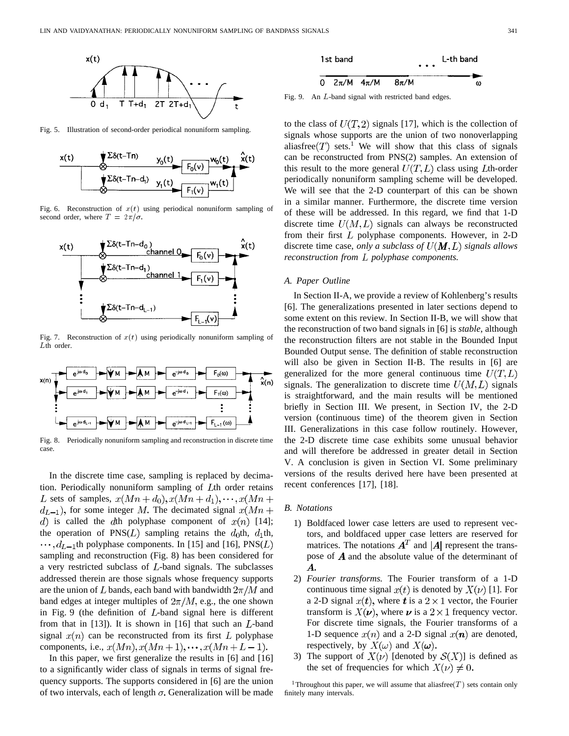

Fig. 5. Illustration of second-order periodical nonuniform sampling.



Fig. 6. Reconstruction of  $x(t)$  using periodical nonuniform sampling of second order, where  $T = 2\pi/\sigma$ .



Fig. 7. Reconstruction of  $x(t)$  using periodically nonuniform sampling of Lth order.



Fig. 8. Periodically nonuniform sampling and reconstruction in discrete time case.

In the discrete time case, sampling is replaced by decimation. Periodically nonuniform sampling of  $L$ th order retains L sets of samples,  $x(Mn + d_0), x(Mn + d_1), \dots, x(Mn + d_n)$  $d_{L-1}$ , for some integer M. The decimated signal  $x(Mn +$ d) is called the dth polyphase component of  $x(n)$  [14]; the operation of PNS( $L$ ) sampling retains the  $d_0$ th,  $d_1$ th,  $\cdots$ ,  $d_{L-1}$ th polyphase components. In [15] and [16], PNS(L) sampling and reconstruction (Fig. 8) has been considered for a very restricted subclass of  $L$ -band signals. The subclasses addressed therein are those signals whose frequency supports are the union of L bands, each band with bandwidth  $2\pi/M$  and band edges at integer multiples of  $2\pi/M$ , e.g., the one shown in Fig. 9 (the definition of  $L$ -band signal here is different from that in  $[13]$ ). It is shown in  $[16]$  that such an  $L$ -band signal  $x(n)$  can be reconstructed from its first L polyphase components, i.e.,  $x(Mn)$ ,  $x(Mn+1)$ ,  $\cdots$ ,  $x(Mn+L-1)$ .

In this paper, we first generalize the results in [6] and [16] to a significantly wider class of signals in terms of signal frequency supports. The supports considered in [6] are the union of two intervals, each of length  $\sigma$ . Generalization will be made



Fig. 9. An L-band signal with restricted band edges.

to the class of  $U(T, 2)$  signals [17], which is the collection of signals whose supports are the union of two nonoverlapping aliasfree  $(T)$  sets.<sup>1</sup> We will show that this class of signals can be reconstructed from PNS(2) samples. An extension of this result to the more general  $U(T, L)$  class using Lth-order periodically nonuniform sampling scheme will be developed. We will see that the 2-D counterpart of this can be shown in a similar manner. Furthermore, the discrete time version of these will be addressed. In this regard, we find that 1-D discrete time  $U(M, L)$  signals can always be reconstructed from their first  $L$  polyphase components. However, in 2-D discrete time case, *only a subclass of*  $U(M, L)$  *signals allows reconstruction from L polyphase components.* 

## *A. Paper Outline*

In Section II-A, we provide a review of Kohlenberg's results [6]. The generalizations presented in later sections depend to some extent on this review. In Section II-B, we will show that the reconstruction of two band signals in [6] is *stable*, although the reconstruction filters are not stable in the Bounded Input Bounded Output sense. The definition of stable reconstruction will also be given in Section II-B. The results in [6] are generalized for the more general continuous time  $U(T, L)$ signals. The generalization to discrete time  $U(M, L)$  signals is straightforward, and the main results will be mentioned briefly in Section III. We present, in Section IV, the 2-D version (continuous time) of the theorem given in Section III. Generalizations in this case follow routinely. However, the 2-D discrete time case exhibits some unusual behavior and will therefore be addressed in greater detail in Section V. A conclusion is given in Section VI. Some preliminary versions of the results derived here have been presented at recent conferences [17], [18].

# *B. Notations*

- 1) Boldfaced lower case letters are used to represent vectors, and boldfaced upper case letters are reserved for matrices. The notations  $A<sup>T</sup>$  and |A| represent the transpose of  $\boldsymbol{A}$  and the absolute value of the determinant of  $\boldsymbol{A}$ .
- 2) *Fourier transforms.* The Fourier transform of a 1-D continuous time signal  $x(t)$  is denoted by  $X(\nu)$  [1]. For a 2-D signal  $x(t)$ , where t is a  $2 \times 1$  vector, the Fourier transform is  $X(\nu)$ , where  $\nu$  is a  $2 \times 1$  frequency vector. For discrete time signals, the Fourier transforms of a 1-D sequence  $x(n)$  and a 2-D signal  $x(n)$  are denoted, respectively, by  $X(\omega)$  and  $X(\omega)$ .
- 3) The support of  $X(\nu)$  [denoted by  $S(X)$ ] is defined as the set of frequencies for which  $X(\nu) \neq 0$ .

<sup>1</sup>Throughout this paper, we will assume that aliasfree(T) sets contain only finitely many intervals.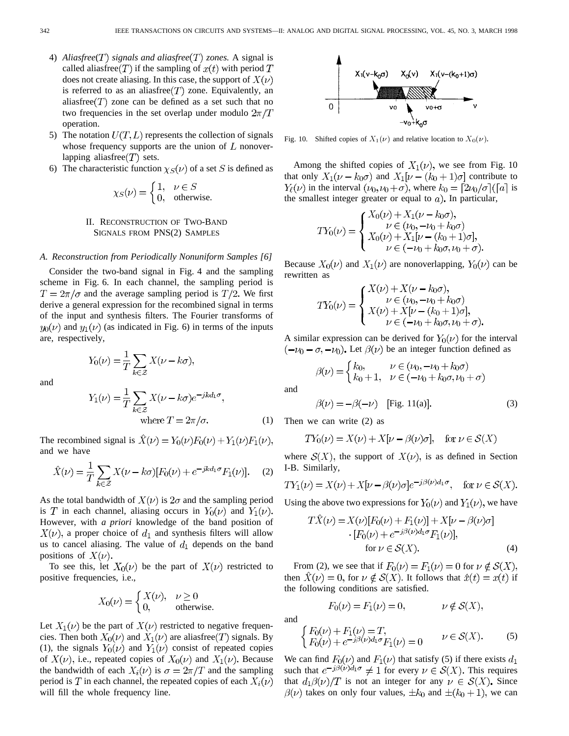- 4) *Aliasfree*( $T$ ) *signals and aliasfree*( $T$ ) *zones.* A signal is called aliasfree  $(T)$  if the sampling of  $x(t)$  with period T does not create aliasing. In this case, the support of  $X(\nu)$ is referred to as an aliasfree  $(T)$  zone. Equivalently, an aliasfree $(T)$  zone can be defined as a set such that no two frequencies in the set overlap under modulo  $2\pi/T$ operation.
- 5) The notation  $U(T, L)$  represents the collection of signals whose frequency supports are the union of  $L$  nonoverlapping aliasfree $(T)$  sets.
- 6) The characteristic function  $\chi_S(\nu)$  of a set S is defined as

$$
\chi_S(\nu) = \begin{cases} 1, & \nu \in S \\ 0, & \text{otherwise.} \end{cases}
$$

# II. RECONSTRUCTION OF TWO-BAND SIGNALS FROM PNS(2) SAMPLES

### *A. Reconstruction from Periodically Nonuniform Samples [6]*

Consider the two-band signal in Fig. 4 and the sampling scheme in Fig. 6. In each channel, the sampling period is  $T = 2\pi/\sigma$  and the average sampling period is  $T/2$ . We first derive a general expression for the recombined signal in terms of the input and synthesis filters. The Fourier transforms of  $y_0(\nu)$  and  $y_1(\nu)$  (as indicated in Fig. 6) in terms of the inputs are, respectively,

$$
Y_0(\nu) = \frac{1}{T} \sum_{k \in \mathcal{Z}} X(\nu - k\sigma),
$$

and

$$
Y_1(\nu) = \frac{1}{T} \sum_{k \in \mathcal{Z}} X(\nu - k\sigma) e^{-jkd_1\sigma},
$$
  
where  $T = 2\pi/\sigma$ . (1)

The recombined signal is  $\hat{X}(\nu) = Y_0(\nu)F_0(\nu) + Y_1(\nu)F_1(\nu)$ , and we have

$$
\hat{X}(\nu) = \frac{1}{T} \sum_{k \in \mathcal{Z}} X(\nu - k\sigma) [F_0(\nu) + e^{-jkd_1\sigma} F_1(\nu)]. \tag{2}
$$

As the total bandwidth of  $X(\nu)$  is  $2\sigma$  and the sampling period is T in each channel, aliasing occurs in  $Y_0(\nu)$  and  $Y_1(\nu)$ . However, with *a priori* knowledge of the band position of  $X(\nu)$ , a proper choice of  $d_1$  and synthesis filters will allow us to cancel aliasing. The value of  $d_1$  depends on the band positions of  $X(\nu)$ .

To see this, let  $X_0(\nu)$  be the part of  $X(\nu)$  restricted to positive frequencies, i.e.,

$$
X_0(\nu) = \begin{cases} X(\nu), & \nu \ge 0\\ 0, & \text{otherwise.} \end{cases}
$$

Let  $X_1(\nu)$  be the part of  $X(\nu)$  restricted to negative frequencies. Then both  $X_0(\nu)$  and  $X_1(\nu)$  are aliasfree  $(T)$  signals. By (1), the signals  $Y_0(\nu)$  and  $Y_1(\nu)$  consist of repeated copies of  $X(\nu)$ , i.e., repeated copies of  $X_0(\nu)$  and  $X_1(\nu)$ . Because the bandwidth of each  $X_i(\nu)$  is  $\sigma = 2\pi/T$  and the sampling period is T in each channel, the repeated copies of each  $X_i(\nu)$ will fill the whole frequency line.



Fig. 10. Shifted copies of  $X_1(\nu)$  and relative location to  $X_0(\nu)$ .

Among the shifted copies of  $X_1(\nu)$ , we see from Fig. 10 that only  $X_1(\nu - k_0\sigma)$  and  $X_1[\nu - (k_0 + 1)\sigma]$  contribute to  $Y_{\ell}(\nu)$  in the interval  $(\nu_0, \nu_0 + \sigma)$ , where  $k_0 = \lceil 2\nu_0/\sigma \rceil$  ( $\lceil a \rceil$  is the smallest integer greater or equal to  $a$ ). In particular,

$$
TY_0(\nu) = \begin{cases} X_0(\nu) + X_1(\nu - k_0\sigma), \\ \nu \in (\nu_0, -\nu_0 + k_0\sigma) \\ X_0(\nu) + X_1[\nu - (k_0 + 1)\sigma], \\ \nu \in (-\nu_0 + k_0\sigma, \nu_0 + \sigma). \end{cases}
$$

Because  $X_0(\nu)$  and  $X_1(\nu)$  are nonoverlapping,  $Y_0(\nu)$  can be rewritten as

$$
TY_0(\nu) = \begin{cases} X(\nu) + X(\nu - k_0 \sigma), \\ \nu \in (\nu_0, -\nu_0 + k_0 \sigma) \\ X(\nu) + X[\nu - (k_0 + 1)\sigma], \\ \nu \in (-\nu_0 + k_0 \sigma, \nu_0 + \sigma). \end{cases}
$$

A similar expression can be derived for  $Y_0(\nu)$  for the interval  $(-\nu_0 - \sigma, -\nu_0)$ . Let  $\beta(\nu)$  be an integer function defined as

$$
\beta(\nu) = \begin{cases} k_0, & \nu \in (\nu_0, -\nu_0 + k_0 \sigma) \\ k_0 + 1, & \nu \in (-\nu_0 + k_0 \sigma, \nu_0 + \sigma) \end{cases}
$$

$$
\beta(\nu) = -\beta(-\nu) \quad \text{[Fig. 11(a)].} \tag{3}
$$

Then we can write (2) as

$$
TY_0(\nu) = X(\nu) + X[\nu - \beta(\nu)\sigma], \text{ for } \nu \in \mathcal{S}(X)
$$

where  $S(X)$ , the support of  $X(\nu)$ , is as defined in Section I-B. Similarly,

$$
TY_1(\nu) = X(\nu) + X[\nu - \beta(\nu)\sigma]e^{-j\beta(\nu)d_1\sigma}, \text{ for } \nu \in \mathcal{S}(X).
$$

Using the above two expressions for  $Y_0(\nu)$  and  $Y_1(\nu)$ , we have

$$
T\ddot{X}(\nu) = X(\nu)[F_0(\nu) + F_1(\nu)] + X[\nu - \beta(\nu)\sigma]
$$

$$
\cdot [F_0(\nu) + e^{-j\beta(\nu)d_1\sigma}F_1(\nu)],
$$
  
for  $\nu \in \mathcal{S}(X)$ . (4)

From (2), we see that if  $F_0(\nu) = F_1(\nu) = 0$  for  $\nu \notin \mathcal{S}(X)$ , then  $\hat{X}(v) = 0$ , for  $v \notin S(X)$ . It follows that  $\hat{x}(t) = x(t)$  if the following conditions are satisfied.

$$
F_0(\nu) = F_1(\nu) = 0, \qquad \nu \notin \mathcal{S}(X)
$$

and

and

$$
\begin{cases}\nF_0(\nu) + F_1(\nu) = T, \\
F_0(\nu) + e^{-j\beta(\nu)d_1\sigma} F_1(\nu) = 0 \qquad \nu \in \mathcal{S}(X).\n\end{cases} (5)
$$

We can find  $F_0(\nu)$  and  $F_1(\nu)$  that satisfy (5) if there exists such that  $e^{-j\beta(\nu)d_1\sigma}\neq 1$  for every  $\nu\in \mathcal{S}(X)$ . This requires that  $d_1\beta(\nu)/T$  is not an integer for any  $\nu \in S(X)$ . Since  $\beta(\nu)$  takes on only four values,  $\pm k_0$  and  $\pm (k_0 + 1)$ , we can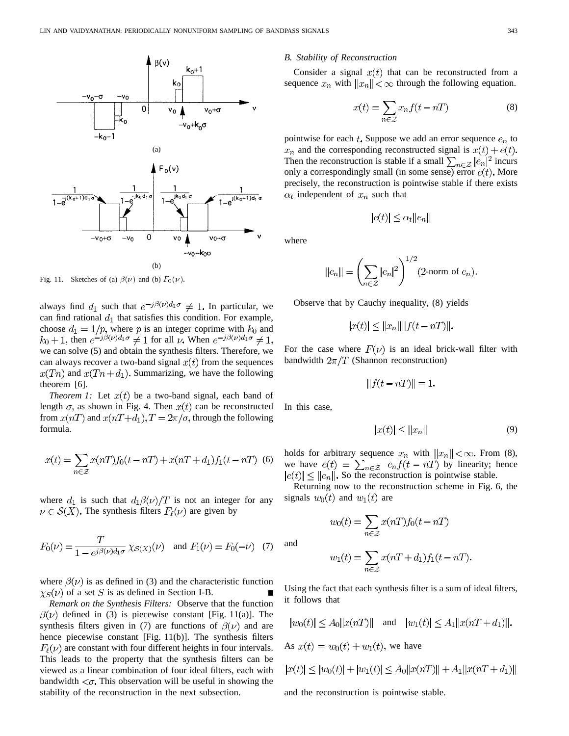

Fig. 11. Sketches of (a)  $\beta(\nu)$  and (b)  $F_0(\nu)$ .

always find  $d_1$  such that  $e^{-j\beta(\nu)d_1\sigma} \neq 1$ . In particular, we can find rational  $d_1$  that satisfies this condition. For example, choose  $d_1 = 1/p$ , where p is an integer coprime with  $k_0$  and  $k_0 + 1$ , then  $e^{-j\beta(\nu)d_1\sigma} \neq 1$  for all  $\nu$ . When  $e^{-j\beta(\nu)d_1\sigma} \neq 1$ , we can solve (5) and obtain the synthesis filters. Therefore, we can always recover a two-band signal  $x(t)$  from the sequences  $x(Tn)$  and  $x(Tn+d_1)$ . Summarizing, we have the following theorem [6].

*Theorem 1:* Let  $x(t)$  be a two-band signal, each band of length  $\sigma$ , as shown in Fig. 4. Then  $x(t)$  can be reconstructed from  $x(nT)$  and  $x(nT+d_1), T = 2\pi/\sigma$ , through the following formula.

$$
x(t) = \sum_{n \in \mathcal{Z}} x(nT) f_0(t - nT) + x(nT + d_1) f_1(t - nT)
$$
 (6)

where  $d_1$  is such that  $d_1\beta(\nu)/T$  is not an integer for any  $\nu \in S(X)$ . The synthesis filters  $F_{\ell}(\nu)$  are given by

$$
F_0(\nu) = \frac{T}{1 - e^{j\beta(\nu)d_1\sigma}} \chi_{S(X)}(\nu) \text{ and } F_1(\nu) = F_0(-\nu) \quad (7)
$$

where  $\beta(\nu)$  is as defined in (3) and the characteristic function  $\chi_S(\nu)$  of a set S is as defined in Section I-B.

*Remark on the Synthesis Filters:* Observe that the function  $\beta(\nu)$  defined in (3) is piecewise constant [Fig. 11(a)]. The synthesis filters given in (7) are functions of  $\beta(\nu)$  and are hence piecewise constant [Fig. 11(b)]. The synthesis filters  $F_{\ell}(\nu)$  are constant with four different heights in four intervals. This leads to the property that the synthesis filters can be viewed as a linear combination of four ideal filters, each with bandwidth  $\langle \sigma$ . This observation will be useful in showing the stability of the reconstruction in the next subsection.

## *B. Stability of Reconstruction*

Consider a signal  $x(t)$  that can be reconstructed from a sequence  $x_n$  with  $||x_n|| < \infty$  through the following equation.

$$
x(t) = \sum_{n \in \mathcal{Z}} x_n f(t - nT) \tag{8}
$$

pointwise for each t. Suppose we add an error sequence  $e_n$  to  $x_n$  and the corresponding reconstructed signal is  $x(t) + e(t)$ . Then the reconstruction is stable if a small  $\sum_{n \in \mathcal{Z}} |e_n|^2$  incurs only a correspondingly small (in some sense) error  $e(t)$ . More precisely, the reconstruction is pointwise stable if there exists  $\alpha_t$  independent of  $x_n$  such that

$$
|e(t)| \leq \alpha_t ||e_n||
$$

where

$$
|e_n|| = \left(\sum_{n \in \mathcal{Z}} |e_n|^2\right)^{1/2} (2\text{-norm of } e_n).
$$

Observe that by Cauchy inequality, (8) yields

$$
|x(t)| \le ||x_n|| ||f(t - nT)||.
$$

For the case where  $F(\nu)$  is an ideal brick-wall filter with bandwidth  $2\pi/T$  (Shannon reconstruction)

$$
||f(t - nT)|| = 1.
$$

In this case,

and

$$
|x(t)| \le ||x_n|| \tag{9}
$$

holds for arbitrary sequence  $x_n$  with  $||x_n|| < \infty$ . From (8), we have  $e(t) = \sum_{n \in \mathbb{Z}} e_n f(t - nT)$  by linearity; hence So the reconstruction is pointwise stable.

Returning now to the reconstruction scheme in Fig. 6, the signals  $w_0(t)$  and  $w_1(t)$  are

$$
w_0(t) = \sum_{n \in \mathcal{Z}} x(nT) f_0(t - nT)
$$

$$
w_1(t) = \sum_{n \in \mathcal{Z}} x(nT + d_1) f_1(t - nT).
$$

Using the fact that each synthesis filter is a sum of ideal filters, it follows that

$$
|w_0(t)| \le A_0 ||x(nT)||
$$
 and  $|w_1(t)| \le A_1 ||x(nT + d_1)||$ .  
As  $x(t) = w_0(t) + w_1(t)$ , we have  
 $|x(t)| \le |w_0(t)| + |w_1(t)| \le A_0 ||x(nT)|| + A_1 ||x(nT + d_1)||$ 

and the reconstruction is pointwise stable.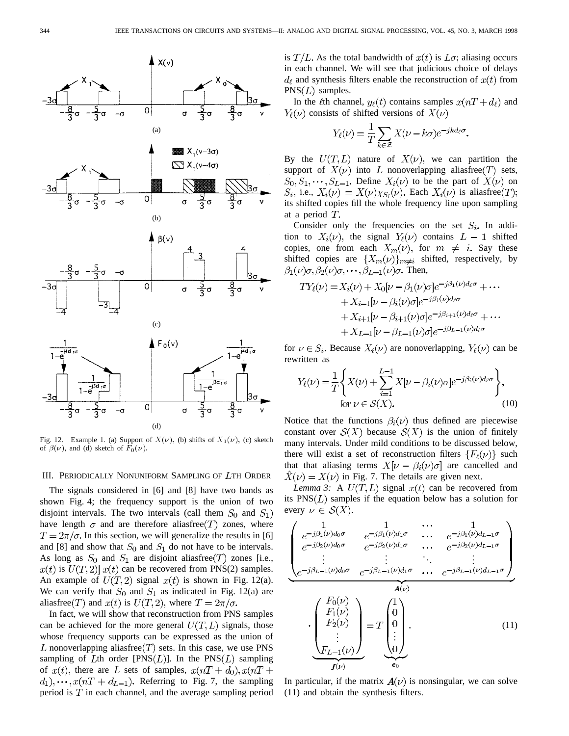

Fig. 12. Example 1. (a) Support of  $X(\nu)$ , (b) shifts of  $X_1(\nu)$ , (c) sketch of  $\beta(\nu)$ , and (d) sketch of  $\overline{F}_0(\nu)$ .

## III. PERIODICALLY NONUNIFORM SAMPLING OF LTH ORDER

The signals considered in [6] and [8] have two bands as shown Fig. 4; the frequency support is the union of two disjoint intervals. The two intervals (call them  $S_0$  and  $S_1$ ) have length  $\sigma$  and are therefore aliasfree  $(T)$  zones, where  $T = 2\pi/\sigma$ . In this section, we will generalize the results in [6] and [8] and show that  $S_0$  and  $S_1$  do not have to be intervals. As long as  $S_0$  and  $S_1$  are disjoint aliasfree  $(T)$  zones [i.e.,  $x(t)$  is  $U(T, 2)$   $x(t)$  can be recovered from PNS(2) samples. An example of  $U(T, 2)$  signal  $x(t)$  is shown in Fig. 12(a). We can verify that  $S_0$  and  $S_1$  as indicated in Fig. 12(a) are aliasfree(T) and  $x(t)$  is  $U(T, 2)$ , where  $T = 2\pi/\sigma$ .

In fact, we will show that reconstruction from PNS samples can be achieved for the more general  $U(T, L)$  signals, those whose frequency supports can be expressed as the union of L nonoverlapping aliasfree  $(T)$  sets. In this case, we use PNS sampling of Lth order  $[PNS(L)]$ . In the  $PNS(L)$  sampling of  $x(t)$ , there are L sets of samples,  $x(nT + d_0), x(nT + d_0)$  $d_1$ ,..., $x(nT + d_{L-1})$ . Referring to Fig. 7, the sampling period is  $T$  in each channel, and the average sampling period is  $T/L$ . As the total bandwidth of  $x(t)$  is  $L\sigma$ ; aliasing occurs in each channel. We will see that judicious choice of delays  $d_{\ell}$  and synthesis filters enable the reconstruction of  $x(t)$  from  $PNS(L)$  samples.

In the  $\ell$ th channel,  $y_{\ell}(t)$  contains samples  $x(nT+d_{\ell})$  and  $Y_{\ell}(\nu)$  consists of shifted versions of  $X(\nu)$ 

$$
Y_{\ell}(\nu) = \frac{1}{T} \sum_{k \in \mathcal{Z}} X(\nu - k\sigma) e^{-jkd_{\ell}\sigma}.
$$

By the  $U(T,L)$  nature of  $X(\nu)$ , we can partition the support of  $X(\nu)$  into L nonoverlapping aliasfree  $(T)$  sets,  $S_0, S_1, \dots, S_{L-1}$ . Define  $X_i(\nu)$  to be the part of  $X(\nu)$  on  $S_i$ , i.e.,  $X_i(\nu) = X(\nu)\chi_{S_i}(\nu)$ . Each  $X_i(\nu)$  is aliasfree(T); its shifted copies fill the whole frequency line upon sampling at a period  $T$ .

Consider only the frequencies on the set  $S_i$ . In addition to  $X_i(\nu)$ , the signal  $Y_\ell(\nu)$  contains  $L-1$  shifted copies, one from each  $X_m(\nu)$ , for  $m \neq i$ . Say these shifted copies are  $\{X_m(\nu)\}_{m\neq i}$  shifted, respectively, by  $\beta_1(\nu)\sigma, \beta_2(\nu)\sigma, \cdots, \beta_{L-1}(\nu)\sigma$ . Then,

$$
TY_{\ell}(\nu) = X_i(\nu) + X_0[\nu - \beta_1(\nu)\sigma]e^{-j\beta_1(\nu)d_{\ell}\sigma} + \cdots
$$
  
+ 
$$
X_{i-1}[\nu - \beta_i(\nu)\sigma]e^{-j\beta_i(\nu)d_{\ell}\sigma}
$$
  
+ 
$$
X_{i+1}[\nu - \beta_{i+1}(\nu)\sigma]e^{-j\beta_{i+1}(\nu)d_{\ell}\sigma} + \cdots
$$
  
+ 
$$
X_{L-1}[\nu - \beta_{L-1}(\nu)\sigma]e^{-j\beta_{L-1}(\nu)d_{\ell}\sigma}
$$

for  $\nu \in S_i$ . Because  $X_i(\nu)$  are nonoverlapping,  $Y_\ell(\nu)$  can be rewritten as

$$
Y_{\ell}(\nu) = \frac{1}{T} \left\{ X(\nu) + \sum_{i=1}^{L-1} X[\nu - \beta_i(\nu)\sigma] e^{-j\beta_i(\nu)d_{\ell}\sigma} \right\},
$$
  
for  $\nu \in \mathcal{S}(X)$ . (10)

Notice that the functions  $\beta_i(\nu)$  thus defined are piecewise constant over  $S(X)$  because  $S(X)$  is the union of finitely many intervals. Under mild conditions to be discussed below, there will exist a set of reconstruction filters  $\{F_{\ell}(\nu)\}\$  such that that aliasing terms  $X[\nu - \beta_i(\nu)\sigma]$  are cancelled and  $\hat{X}(v) = X(v)$  in Fig. 7. The details are given next.

*Lemma 3:* A  $U(T, L)$  signal  $x(t)$  can be recovered from its  $PNS(L)$  samples if the equation below has a solution for every  $\nu \in S(X)$ .

$$
\begin{pmatrix}\n1 & 1 & \cdots & 1 \\
e^{-j\beta_1(\nu)d_0\sigma} & e^{-j\beta_1(\nu)d_1\sigma} & \cdots & e^{-j\beta_1(\nu)d_{L-1}\sigma} \\
e^{-j\beta_2(\nu)d_0\sigma} & e^{-j\beta_2(\nu)d_1\sigma} & \cdots & e^{-j\beta_2(\nu)d_{L-1}\sigma} \\
\vdots & \vdots & \ddots & \vdots \\
e^{-j\beta_{L-1}(\nu)d_0\sigma} & e^{-j\beta_{L-1}(\nu)d_1\sigma} & \cdots & e^{-j\beta_{L-1}(\nu)d_{L-1}\sigma}\n\end{pmatrix}
$$
\n
$$
\cdot \begin{pmatrix}\nF_0(\nu) \\
F_1(\nu) \\
F_2(\nu) \\
\vdots \\
F_{L-1}(\nu)\n\end{pmatrix} = T \begin{pmatrix}\n1 \\
0 \\
0 \\
\vdots \\
0\n\end{pmatrix}.
$$
\n(11)

In particular, if the matrix  $A(\nu)$  is nonsingular, we can solve (11) and obtain the synthesis filters.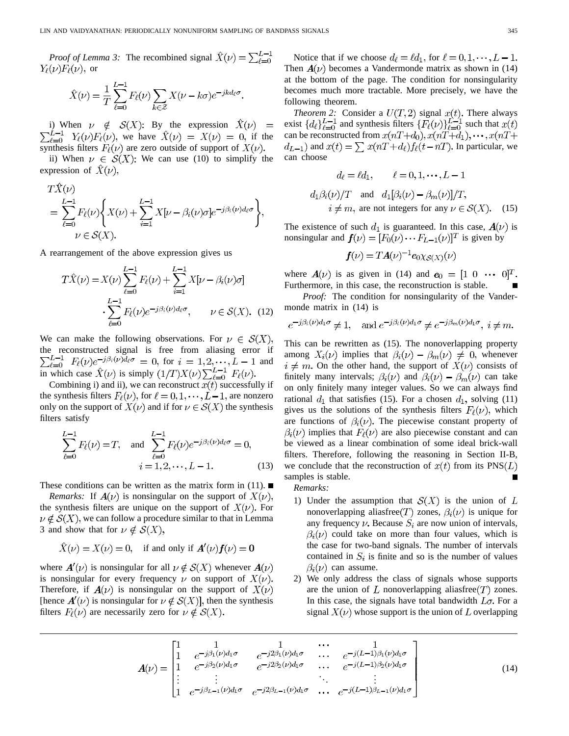*Proof of Lemma 3:* The recombined signal  $\hat{X}(\nu) = \sum_{\ell=0}^{L-1}$  $Y_{\ell}(\nu)F_{\ell}(\nu)$ , or

$$
\hat{X}(\nu) = \frac{1}{T} \sum_{\ell=0}^{L-1} F_{\ell}(\nu) \sum_{k \in \mathcal{Z}} X(\nu - k\sigma) e^{-jkd_{\ell}\sigma}.
$$

i) When  $\nu \notin S(X)$ : By the expression we have  $X(\nu) = X(\nu) = 0$ , if the synthesis filters  $F_{\ell}(\nu)$  are zero outside of support of  $X(\nu)$ .

ii) When  $\nu \in S(X)$ : We can use (10) to simplify the expression of  $\hat{X}(\nu)$ ,

$$
\begin{split} &T\hat{X}(\nu)\\ &=\sum_{\ell=0}^{L-1}F_{\ell}(\nu)\Bigg\{X(\nu)+\sum_{i=1}^{L-1}X[\nu-\beta_{i}(\nu)\sigma]e^{-j\beta_{i}(\nu)d_{\ell}\sigma}\Bigg\},\\ &\nu\in\mathcal{S}(X). \end{split}
$$

A rearrangement of the above expression gives us

$$
T\hat{X}(\nu) = X(\nu) \sum_{\ell=0}^{L-1} F_{\ell}(\nu) + \sum_{i=1}^{L-1} X[\nu - \beta_{i}(\nu)\sigma]
$$

$$
\cdot \sum_{\ell=0}^{L-1} F_{\ell}(\nu) e^{-j\beta_{i}(\nu)d_{\ell}\sigma}, \qquad \nu \in \mathcal{S}(X). \tag{12}
$$

We can make the following observations. For  $\nu \in S(X)$ , the reconstructed signal is free from aliasing error if for  $i = 1, 2, \dots, L-1$  and in which case  $\hat{X}(\nu)$  is simply  $(1/T)X(\nu)\sum_{\ell=0}^{L-1}F_{\ell}(\nu)$ .

Combining i) and ii), we can reconstruct  $x(t)$  successfully if the synthesis filters  $F_{\ell}(\nu)$ , for  $\ell = 0, 1, \dots, L-1$ , are nonzero only on the support of  $X(\nu)$  and if for  $\nu \in S(X)$  the synthesis filters satisfy

$$
\sum_{\ell=0}^{L-1} F_{\ell}(\nu) = T, \text{ and } \sum_{\ell=0}^{L-1} F_{\ell}(\nu) e^{-j\beta_i(\nu)d_{\ell}\sigma} = 0,
$$
  

$$
i = 1, 2, \cdots, L - 1.
$$
 (13)

These conditions can be written as the matrix form in  $(11)$ .

*Remarks:* If  $A(\nu)$  is nonsingular on the support of  $X(\nu)$ , the synthesis filters are unique on the support of  $X(\nu)$ . For  $\nu \notin S(X)$ , we can follow a procedure similar to that in Lemma 3 and show that for  $\nu \notin \mathcal{S}(X)$ ,

$$
\hat{X}(\nu) = X(\nu) = 0, \quad \text{if and only if } A'(\nu) f(\nu) = 0
$$

where  $A'(\nu)$  is nonsingular for all  $\nu \notin S(X)$  whenever  $A(\nu)$ is nonsingular for every frequency  $\nu$  on support of  $X(\nu)$ . Therefore, if  $A(\nu)$  is nonsingular on the support of  $X(\nu)$ [hence  $A'(\nu)$  is nonsingular for  $\nu \notin S(X)$ ], then the synthesis filters  $F_{\ell}(\nu)$  are necessarily zero for  $\nu \notin S(X)$ .

Notice that if we choose  $d_{\ell} = \ell d_1$ , for  $\ell = 0, 1, \dots, L - 1$ . Then  $A(\nu)$  becomes a Vandermonde matrix as shown in (14) at the bottom of the page. The condition for nonsingularity becomes much more tractable. More precisely, we have the following theorem.

*Theorem 2:* Consider a  $U(T, 2)$  signal  $x(t)$ . There always exist  $\{d_{\ell}\}_{\ell=0}^{L-1}$  and synthesis filters  $\{F_{\ell}(\nu)\}_{\ell=0}^{L-1}$  such that can be reconstructed from  $d_{L-1}$ ) and  $x(t) = \sum x(nT + d_{\ell})f_{\ell}(t - nT)$ . In particular, we can choose

$$
d_{\ell} = \ell d_1, \qquad \ell = 0, 1, \dots, L - 1
$$
  

$$
d_1 \beta_i(\nu)/T \quad \text{and} \quad d_1[\beta_i(\nu) - \beta_m(\nu)]/T,
$$
  

$$
i \neq m, \text{ are not integers for any } \nu \in \mathcal{S}(X). \quad (15)
$$

The existence of such  $d_1$  is guaranteed. In this case,  $A(\nu)$  is nonsingular and  $f(\nu) = [F_0(\nu) \cdots F_{L-1}(\nu)]^T$  is given by

$$
\boldsymbol{f}(\nu) = T\boldsymbol{A}(\nu)^{-1}\boldsymbol{e}_{0}\chi_{\mathcal{S}(X)}(\nu)
$$

where  $A(\nu)$  is as given in (14) and  $e_0 = \begin{bmatrix} 1 & 0 & \cdots & 0 \end{bmatrix}^T$ . Furthermore, in this case, the reconstruction is stable.

*Proof:* The condition for nonsingularity of the Vandermonde matrix in (14) is

$$
e^{-j\beta_i(\nu)d_1\sigma} \neq 1
$$
, and  $e^{-j\beta_i(\nu)d_1\sigma} \neq e^{-j\beta_m(\nu)d_1\sigma}$ ,  $i \neq m$ .

This can be rewritten as (15). The nonoverlapping property among  $X_i(\nu)$  implies that  $\beta_i(\nu) - \beta_m(\nu) \neq 0$ , whenever  $i \neq m$ . On the other hand, the support of  $X(\nu)$  consists of finitely many intervals;  $\beta_i(\nu)$  and  $\beta_i(\nu) - \beta_m(\nu)$  can take on only finitely many integer values. So we can always find rational  $d_1$  that satisfies (15). For a chosen  $d_1$ , solving (11) gives us the solutions of the synthesis filters  $F_{\ell}(\nu)$ , which are functions of  $\beta_i(\nu)$ . The piecewise constant property of  $\beta_i(\nu)$  implies that  $F_{\ell}(\nu)$  are also piecewise constant and can be viewed as a linear combination of some ideal brick-wall filters. Therefore, following the reasoning in Section II-B, we conclude that the reconstruction of  $x(t)$  from its PNS(L) samples is stable.

- *Remarks:*
- 1) Under the assumption that  $S(X)$  is the union of L nonoverlapping aliasfree  $(T)$  zones,  $\beta_i(\nu)$  is unique for any frequency  $\nu$ . Because  $S_i$  are now union of intervals,  $\beta_i(\nu)$  could take on more than four values, which is the case for two-band signals. The number of intervals contained in  $S_i$  is finite and so is the number of values  $\beta_i(\nu)$  can assume.
- 2) We only address the class of signals whose supports are the union of  $L$  nonoverlapping aliasfree  $(T)$  zones. In this case, the signals have total bandwidth  $L_{\sigma}$ , For a signal  $X(\nu)$  whose support is the union of L overlapping

$$
\mathbf{A}(\nu) = \begin{bmatrix} 1 & 1 & 1 & \cdots & 1 \\ 1 & e^{-j\beta_1(\nu)d_1\sigma} & e^{-j2\beta_1(\nu)d_1\sigma} & \cdots & e^{-j(L-1)\beta_1(\nu)d_1\sigma} \\ 1 & e^{-j\beta_2(\nu)d_1\sigma} & e^{-j2\beta_2(\nu)d_1\sigma} & \cdots & e^{-j(L-1)\beta_2(\nu)d_1\sigma} \\ \vdots & \vdots & \ddots & \vdots \\ 1 & e^{-j\beta_{L-1}(\nu)d_1\sigma} & e^{-j2\beta_{L-1}(\nu)d_1\sigma} & \cdots & e^{-j(L-1)\beta_{L-1}(\nu)d_1\sigma} \end{bmatrix}
$$
(14)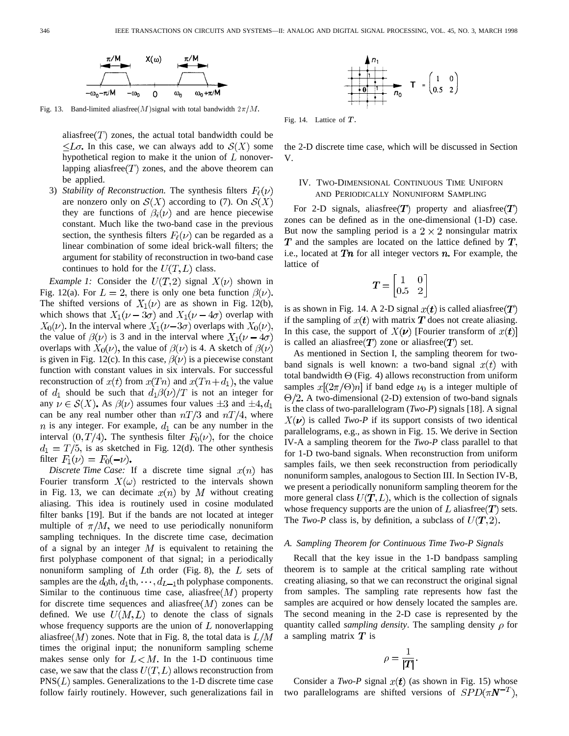

Fig. 13. Band-limited aliasfree(M)signal with total bandwidth  $2\pi/M$ .

aliasfree  $(T)$  zones, the actual total bandwidth could be  $\leq L\sigma$ . In this case, we can always add to  $\mathcal{S}(X)$  some hypothetical region to make it the union of  $L$  nonoverlapping aliasfree  $(T)$  zones, and the above theorem can be applied.

3) *Stability of Reconstruction*. The synthesis filters  $F_{\ell}(\nu)$ are nonzero only on  $\mathcal{S}(X)$  according to (7). On  $\mathcal{S}(X)$ they are functions of  $\beta_i(\nu)$  and are hence piecewise constant. Much like the two-band case in the previous section, the synthesis filters  $F_{\ell}(\nu)$  can be regarded as a linear combination of some ideal brick-wall filters; the argument for stability of reconstruction in two-band case continues to hold for the  $U(T, L)$  class.

*Example 1:* Consider the  $U(T, 2)$  signal  $X(\nu)$  shown in Fig. 12(a). For  $L = 2$ , there is only one beta function  $\beta(\nu)$ . The shifted versions of  $X_1(\nu)$  are as shown in Fig. 12(b), which shows that  $X_1(\nu - 3\sigma)$  and  $X_1(\nu - 4\sigma)$  overlap with  $X_0(\nu)$ . In the interval where  $X_1(\nu-3\sigma)$  overlaps with  $X_0(\nu)$ , the value of  $\beta(\nu)$  is 3 and in the interval where  $X_1(\nu - 4\sigma)$ overlaps with  $X_0(\nu)$ , the value of  $\beta(\nu)$  is 4. A sketch of  $\beta(\nu)$ is given in Fig. 12(c). In this case,  $\beta(\nu)$  is a piecewise constant function with constant values in six intervals. For successful reconstruction of  $x(t)$  from  $x(Tn)$  and  $x(Tn+d_1)$ , the value of  $d_1$  should be such that  $d_1\beta(\nu)/T$  is not an integer for any  $\nu \in S(X)$ . As  $\beta(\nu)$  assumes four values  $\pm 3$  and  $\pm 4, d_1$ can be any real number other than  $nT/3$  and  $nT/4$ , where  $n$  is any integer. For example,  $d_1$  can be any number in the interval  $(0, T/4)$ . The synthesis filter  $F_0(\nu)$ , for the choice  $d_1 = T/5$ , is as sketched in Fig. 12(d). The other synthesis filter  $F_1(\nu) = F_0(-\nu)$ .

*Discrete Time Case:* If a discrete time signal  $x(n)$  has Fourier transform  $X(\omega)$  restricted to the intervals shown in Fig. 13, we can decimate  $x(n)$  by M without creating aliasing. This idea is routinely used in cosine modulated filter banks [19]. But if the bands are not located at integer multiple of  $\pi/M$ , we need to use periodically nonuniform sampling techniques. In the discrete time case, decimation of a signal by an integer  $M$  is equivalent to retaining the first polyphase component of that signal; in a periodically nonuniform sampling of Lth order (Fig. 8), the  $L$  sets of samples are the  $d_0$ th,  $d_1$ th,  $\cdots$ ,  $d_{L-1}$ th polyphase components. Similar to the continuous time case, aliasfree  $(M)$  property for discrete time sequences and aliasfree $(M)$  zones can be defined. We use  $U(M, L)$  to denote the class of signals whose frequency supports are the union of  $L$  nonoverlapping aliasfree  $(M)$  zones. Note that in Fig. 8, the total data is  $L/M$ times the original input; the nonuniform sampling scheme makes sense only for  $L < M$ . In the 1-D continuous time case, we saw that the class  $U(T, L)$  allows reconstruction from  $PNS(L)$  samples. Generalizations to the 1-D discrete time case follow fairly routinely. However, such generalizations fail in



Fig. 14. Lattice of  $T$ 

the 2-D discrete time case, which will be discussed in Section V.

# IV. TWO-DIMENSIONAL CONTINUOUS TIME UNIFORN AND PERIODICALLY NONUNIFORM SAMPLING

For 2-D signals, aliasfree  $(T)$  property and aliasfree  $(T)$ zones can be defined as in the one-dimensional (1-D) case. But now the sampling period is a  $2 \times 2$  nonsingular matrix  $T$  and the samples are located on the lattice defined by  $T$ , i.e., located at  $Tn$  for all integer vectors  $n$ . For example, the lattice of

$$
T = \begin{bmatrix} 1 & 0 \\ 0.5 & 2 \end{bmatrix}
$$

is as shown in Fig. 14. A 2-D signal  $x(t)$  is called aliasfree(T) if the sampling of  $x(t)$  with matrix T does not create aliasing. In this case, the support of  $X(\nu)$  [Fourier transform of  $x(t)$ ] is called an aliasfree  $T$  zone or aliasfree  $T$  set.

As mentioned in Section I, the sampling theorem for twoband signals is well known: a two-band signal  $x(t)$  with total bandwidth  $\Theta$  (Fig. 4) allows reconstruction from uniform samples  $x[(2\pi/\Theta)n]$  if band edge  $\nu_0$  is a integer multiple of  $\Theta/2$ . A two-dimensional (2-D) extension of two-band signals is the class of two-parallelogram (*Two-P*) signals [18]. A signal  $X(\nu)$  is called *Two-P* if its support consists of two identical parallelograms, e.g., as shown in Fig. 15. We derive in Section IV-A a sampling theorem for the *Two-P* class parallel to that for 1-D two-band signals. When reconstruction from uniform samples fails, we then seek reconstruction from periodically nonuniform samples, analogous to Section III. In Section IV-B, we present a periodically nonuniform sampling theorem for the more general class  $U(T, L)$ , which is the collection of signals whose frequency supports are the union of L aliasfree  $(T)$  sets. The *Two-P* class is, by definition, a subclass of  $U(T, 2)$ .

### *A. Sampling Theorem for Continuous Time Two-P Signals*

Recall that the key issue in the 1-D bandpass sampling theorem is to sample at the critical sampling rate without creating aliasing, so that we can reconstruct the original signal from samples. The sampling rate represents how fast the samples are acquired or how densely located the samples are. The second meaning in the 2-D case is represented by the quantity called *sampling density*. The sampling density  $\rho$  for a sampling matrix  $\boldsymbol{T}$  is

$$
\rho = \frac{1}{|T|}.
$$

Consider a *Two-P* signal  $x(t)$  (as shown in Fig. 15) whose two parallelograms are shifted versions of  $SPD(\pi N^{-T}),$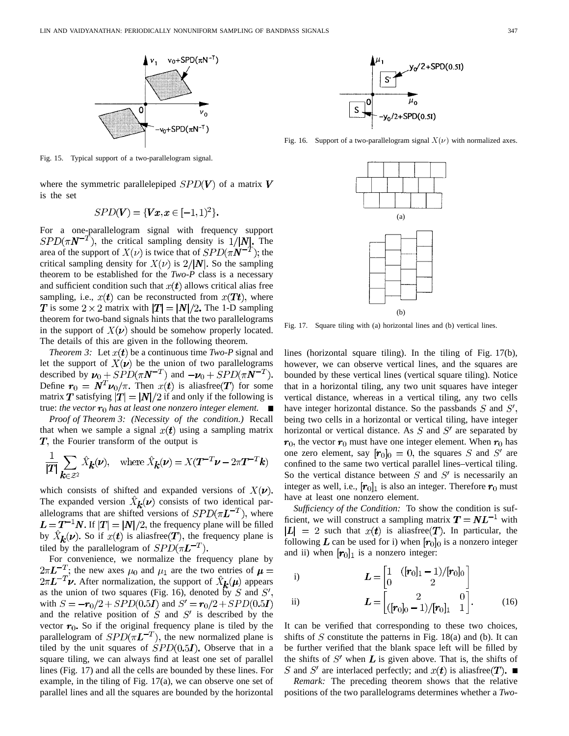

Fig. 15. Typical support of a two-parallelogram signal.

where the symmetric parallelepiped  $SPD(V)$  of a matrix V is the set

$$
SPD(V) = \{ \textbf{Vx}, \textbf{x} \in [-1, 1)^2 \}.
$$

For a one-parallelogram signal with frequency support  $SPD(\pi N^{-T})$ , the critical sampling density is  $1/|N|$ . The area of the support of  $X(\nu)$  is twice that of  $SPD(\pi N^{-T})$ ; the critical sampling density for  $X(\nu)$  is  $2/|N|$ . So the sampling theorem to be established for the *Two-P* class is a necessary and sufficient condition such that  $x(t)$  allows critical alias free sampling, i.e.,  $x(t)$  can be reconstructed from  $x(Tt)$ , where **T** is some  $2 \times 2$  matrix with  $|T| = |N|/2$ . The 1-D sampling theorem for two-band signals hints that the two parallelograms in the support of  $X(\nu)$  should be somehow properly located. The details of this are given in the following theorem.

*Theorem 3:* Let  $x(t)$  be a continuous time *Two-P* signal and let the support of  $X(\nu)$  be the union of two parallelograms described by  $v_0 + SPD(\pi N^{-T})$  and  $-v_0 + SPD(\pi N^{-T})$ . Define  $r_0 = N^T \nu_0 / \pi$ . Then  $x(t)$  is aliasfree  $(T)$  for some matrix T satisfying  $|T| = |N|/2$  if and only if the following is true: *the vector*  $r_0$  *has at least one nonzero integer element.* 

*Proof of Theorem 3: (Necessity of the condition.)* Recall that when we sample a signal  $x(t)$  using a sampling matrix  $T$ , the Fourier transform of the output is

$$
\frac{1}{|T|} \sum_{\mathbf{k} \in \mathcal{Z}^2} \hat{X}_{\mathbf{k}}(\nu), \quad \text{where } \hat{X}_{\mathbf{k}}(\nu) = X(T^{-T}\nu - 2\pi T^{-T}\mathbf{k})
$$

which consists of shifted and expanded versions of  $X(\nu)$ . The expanded version  $X_k(\nu)$  consists of two identical parallelograms that are shifted versions of  $SPD(\pi L^{-T})$ , where  $L = T^{-1}N$ . If  $|T| = |N|/2$ , the frequency plane will be filled by  $\hat{X}_{k}(\nu)$ . So if  $x(t)$  is aliasfree  $(T)$ , the frequency plane is tiled by the parallelogram of  $SPD(\pi L^{-T})$ .

For convenience, we normalize the frequency plane by  $2\pi L^{-T}$ ; the new axes  $\mu_0$  and  $\mu_1$  are the two entries of  $\mu =$  $2\pi L^{-T}\nu$ . After normalization, the support of  $\hat{X}_{k}(\mu)$  appears as the union of two squares (Fig. 16), denoted by  $S$  and  $S'$ , with  $S = -r_0/2 + SPD(0.5I)$  and  $S' = r_0/2 + SPD(0.5I)$ and the relative position of  $S$  and  $S'$  is described by the vector  $r_0$ . So if the original frequency plane is tiled by the parallelogram of  $SPD(\pi L^{-T})$ , the new normalized plane is tiled by the unit squares of  $SPD(0.5I)$ . Observe that in a square tiling, we can always find at least one set of parallel lines (Fig. 17) and all the cells are bounded by these lines. For example, in the tiling of Fig. 17(a), we can observe one set of parallel lines and all the squares are bounded by the horizontal



Fig. 16. Support of a two-parallelogram signal  $X(\nu)$  with normalized axes.



Fig. 17. Square tiling with (a) horizontal lines and (b) vertical lines.

lines (horizontal square tiling). In the tiling of Fig. 17(b), however, we can observe vertical lines, and the squares are bounded by these vertical lines (vertical square tiling). Notice that in a horizontal tiling, any two unit squares have integer vertical distance, whereas in a vertical tiling, any two cells have integer horizontal distance. So the passbands  $S$  and  $S'$ , being two cells in a horizontal or vertical tiling, have integer horizontal or vertical distance. As  $S$  and  $S'$  are separated by  $r_0$ , the vector  $r_0$  must have one integer element. When  $r_0$  has one zero element, say  $[r_0]_0 = 0$ , the squares S and S' are confined to the same two vertical parallel lines–vertical tiling. So the vertical distance between  $S$  and  $S'$  is necessarily an integer as well, i.e.,  $[r_0]_1$  is also an integer. Therefore  $r_0$  must have at least one nonzero element.

*Sufficiency of the Condition:* To show the condition is sufficient, we will construct a sampling matrix  $T = NL^{-1}$  with  $|L| = 2$  such that  $x(t)$  is aliasfree  $T$ ). In particular, the following L can be used for i) when  $[r_0]_0$  is a nonzero integer and ii) when  $[r_0]_1$  is a nonzero integer:

i) 
$$
L = \begin{bmatrix} 1 & ([r_0]_1 - 1)/[r_0]_0 \\ 0 & 2 \end{bmatrix}
$$
  
ii) 
$$
L = \begin{bmatrix} 2 & 0 \\ ([r_0]_0 - 1)/[r_0]_1 & 1 \end{bmatrix}.
$$
 (16)

It can be verified that corresponding to these two choices, shifts of  $S$  constitute the patterns in Fig. 18(a) and (b). It can be further verified that the blank space left will be filled by the shifts of  $S'$  when  $L$  is given above. That is, the shifts of S and S' are interlaced perfectly; and  $x(t)$  is aliasfree(T).

*Remark:* The preceding theorem shows that the relative positions of the two parallelograms determines whether a *Two-*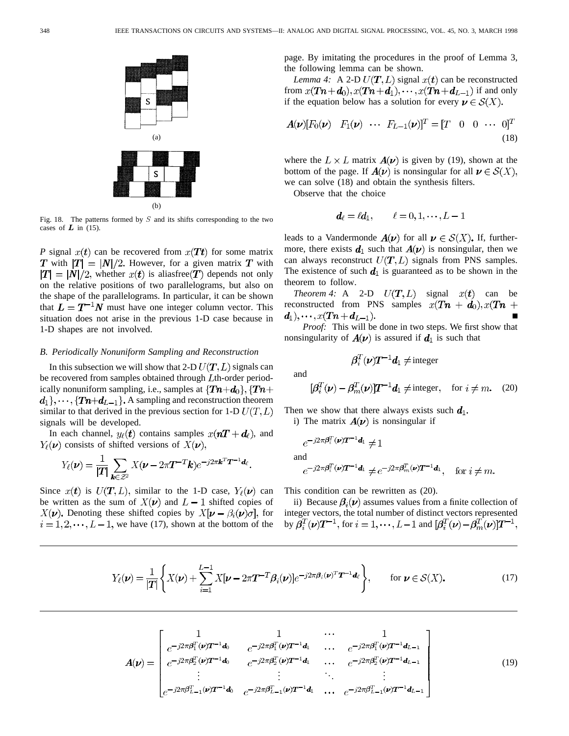

Fig. 18. The patterns formed by  $S$  and its shifts corresponding to the two cases of  $L$  in (15).

*P* signal  $x(t)$  can be recovered from  $x(Tt)$  for some matrix **T** with  $|T| = |N|/2$ . However, for a given matrix **T** with  $|T| = |N|/2$ , whether  $x(t)$  is aliasfree  $T$  depends not only on the relative positions of two parallelograms, but also on the shape of the parallelograms. In particular, it can be shown that  $L = T^{-1}N$  must have one integer column vector. This situation does not arise in the previous 1-D case because in 1-D shapes are not involved.

#### *B. Periodically Nonuniform Sampling and Reconstruction*

In this subsection we will show that 2-D  $U(T, L)$  signals can be recovered from samples obtained through  $L$ th-order periodically nonuniform sampling, i.e., samples at  $\{Tn+d_0\}$ ,  $\{Tn+d$  $d_1$ ,  $\dots$ ,  $\{Tn+d_{L-1}\}\$ . A sampling and reconstruction theorem similar to that derived in the previous section for 1-D  $U(T,L)$ signals will be developed.

In each channel,  $y_{\ell}(\mathbf{t})$  contains samples  $x(\mathbf{n}T + \mathbf{d}_{\ell})$ , and  $Y_{\ell}(\nu)$  consists of shifted versions of  $X(\nu)$ ,

$$
Y_{\ell}(\nu) = \frac{1}{|T|} \sum_{\mathbf{k} \in \mathcal{Z}^2} X(\nu - 2\pi T^{-T} \mathbf{k}) e^{-j2\pi \mathbf{k}^T T^{-1} \mathbf{d}_{\ell}}.
$$

Since  $x(t)$  is  $U(T, L)$ , similar to the 1-D case,  $Y_{\ell}(\nu)$  can be written as the sum of  $X(\nu)$  and  $L-1$  shifted copies of  $X(\nu)$ . Denoting these shifted copies by  $X[\nu - \beta_i(\nu)\sigma]$ , for  $i = 1, 2, \dots, L-1$ , we have (17), shown at the bottom of the page. By imitating the procedures in the proof of Lemma 3, the following lemma can be shown.

*Lemma 4:* A 2-D  $U(T, L)$  signal  $x(t)$  can be reconstructed from  $x(Tn+d_0), x(Tn+d_1), \dots, x(Tn+d_{L-1})$  if and only if the equation below has a solution for every  $\mathbf{v} \in \mathcal{S}(X)$ .

$$
\mathbf{A}(\mathbf{\nu})[F_0(\mathbf{\nu}) \quad F_1(\mathbf{\nu}) \quad \cdots \quad F_{L-1}(\mathbf{\nu})]^T = [T \quad 0 \quad 0 \quad \cdots \quad 0]^T
$$
\n(18)

where the  $L \times L$  matrix  $A(\nu)$  is given by (19), shown at the bottom of the page. If  $A(\nu)$  is nonsingular for all  $\nu \in S(X)$ , we can solve (18) and obtain the synthesis filters.

Observe that the choice

$$
\boldsymbol{d}_{\ell} = \ell \boldsymbol{d}_1, \qquad \ell = 0, 1, \cdots, L-1
$$

leads to a Vandermonde  $A(\nu)$  for all  $\nu \in S(X)$ . If, furthermore, there exists  $d_1$  such that  $A(\nu)$  is nonsingular, then we can always reconstruct  $U(T, L)$  signals from PNS samples. The existence of such  $d_1$  is guaranteed as to be shown in the theorem to follow.

*Theorem 4:* A 2-D  $U(T, L)$  signal  $x(t)$  can be reconstructed from PNS samples  $x(Tn + d_0), x(Tn +$  $d_1), \cdots, x(Tn + d_{L-1}).$ 

*Proof:* This will be done in two steps. We first show that nonsingularity of  $A(\nu)$  is assured if  $d_1$  is such that

$$
\pmb{\beta}_i^T(\pmb{\nu}) \pmb{T}^{-1} \pmb{d}_1 \neq \text{integer}
$$

and

$$
[\beta_i^T(\nu) - \beta_m^T(\nu)]T^{-1}\mathbf{d}_1 \neq \text{integer}, \quad \text{for } i \neq m. \quad (20)
$$

Then we show that there always exists such  $d_1$ .

i) The matrix  $A(\nu)$  is nonsingular if

$$
e^{-j2\pi\boldsymbol{\beta}_i^T(\boldsymbol{\nu})\boldsymbol{T}^{-1}\boldsymbol{d}_1} \neq 1
$$

and

$$
e^{-j2\pi\pmb{\beta}_i^T(\pmb{\nu})\pmb{T^{-1}}\pmb{d}_1} \neq e^{-j2\pi\pmb{\beta}_m^T(\pmb{\nu})\pmb{T^{-1}}\pmb{d}_1}, \quad \text{for } i \neq m.
$$

This condition can be rewritten as (20).

ii) Because  $\beta_i(\nu)$  assumes values from a finite collection of integer vectors, the total number of distinct vectors represented by  $\beta_i^T(\nu)T^{-1}$ , for  $i=1,\cdots,L-1$  and  $[\beta_i^T(\nu)-\beta_m^T(\nu)]T^{-1}$ ,

$$
Y_{\ell}(\nu) = \frac{1}{|T|} \left\{ X(\nu) + \sum_{i=1}^{L-1} X[\nu - 2\pi T^{-T} \beta_i(\nu)] e^{-j2\pi \beta_i(\nu)^T T^{-1} d_{\ell}} \right\}, \quad \text{for } \nu \in \mathcal{S}(X). \tag{17}
$$

$$
A(\nu) = \begin{bmatrix} 1 & 1 & \cdots & 1 \\ e^{-j2\pi\beta_1^T(\nu)T^{-1}d_0} & e^{-j2\pi\beta_1^T(\nu)T^{-1}d_1} & \cdots & e^{-j2\pi\beta_1^T(\nu)T^{-1}d_{L-1}} \\ e^{-j2\pi\beta_2^T(\nu)T^{-1}d_0} & e^{-j2\pi\beta_2^T(\nu)T^{-1}d_1} & \cdots & e^{-j2\pi\beta_2^T(\nu)T^{-1}d_{L-1}} \\ \vdots & \vdots & \ddots & \vdots \\ e^{-j2\pi\beta_{L-1}^T(\nu)T^{-1}d_0} & e^{-j2\pi\beta_{L-1}^T(\nu)T^{-1}d_1} & \cdots & e^{-j2\pi\beta_{L-1}^T(\nu)T^{-1}d_{L-1}} \end{bmatrix}
$$
(19)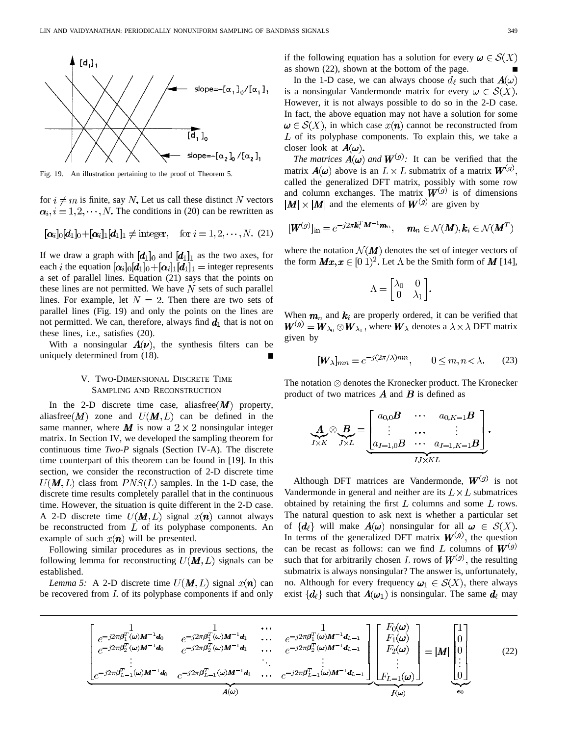

Fig. 19. An illustration pertaining to the proof of Theorem 5.

for  $i \neq m$  is finite, say N. Let us call these distinct N vectors  $\alpha_i$ ,  $i = 1, 2, \dots, N$ . The conditions in (20) can be rewritten as

$$
[\alpha_i]_0[d_1]_0 + [\alpha_i]_1[d_1]_1 \neq \text{integer}, \quad \text{for } i = 1, 2, \cdots, N. (21)
$$

If we draw a graph with  $[d_1]_0$  and  $[d_1]_1$  as the two axes, for each *i* the equation  $[\alpha_i]_0 [d_1]_0 + [\alpha_i]_1 [d_1]_1$  = integer represents a set of parallel lines. Equation (21) says that the points on these lines are not permitted. We have  $N$  sets of such parallel lines. For example, let  $N = 2$ . Then there are two sets of parallel lines (Fig. 19) and only the points on the lines are not permitted. We can, therefore, always find  $d_1$  that is not on these lines, i.e., satisfies (20).

With a nonsingular  $A(\nu)$ , the synthesis filters can be uniquely determined from (18). П

# V. TWO-DIMENSIONAL DISCRETE TIME SAMPLING AND RECONSTRUCTION

In the 2-D discrete time case, aliasfree  $(M)$  property, aliasfree  $(M)$  zone and  $U(M,L)$  can be defined in the same manner, where M is now a  $2 \times 2$  nonsingular integer matrix. In Section IV, we developed the sampling theorem for continuous time *Two-P* signals (Section IV-A). The discrete time counterpart of this theorem can be found in [19]. In this section, we consider the reconstruction of 2-D discrete time  $U(M,L)$  class from  $PNS(L)$  samples. In the 1-D case, the discrete time results completely parallel that in the continuous time. However, the situation is quite different in the 2-D case. A 2-D discrete time  $U(M, L)$  signal  $x(n)$  cannot always be reconstructed from  $L$  of its polyphase components. An example of such  $x(n)$  will be presented.

Following similar procedures as in previous sections, the following lemma for reconstructing  $U(M, L)$  signals can be established.

*Lemma 5:* A 2-D discrete time  $U(M, L)$  signal  $x(n)$  can be recovered from  $L$  of its polyphase components if and only if the following equation has a solution for every  $\omega \in \mathcal{S}(X)$ as shown (22), shown at the bottom of the page.

In the 1-D case, we can always choose  $d_{\ell}$  such that  $A(\omega)$ is a nonsingular Vandermonde matrix for every  $\omega \in \mathcal{S}(X)$ . However, it is not always possible to do so in the 2-D case. In fact, the above equation may not have a solution for some  $\omega \in \mathcal{S}(X)$ , in which case  $x(n)$  cannot be reconstructed from  $L$  of its polyphase components. To explain this, we take a closer look at  $A(\omega)$ .

*The matrices*  $\mathbf{A}(\omega)$  *and*  $\mathbf{W}^{(g)}$ : It can be verified that the matrix  $A(\omega)$  above is an  $L \times L$  submatrix of a matrix  $W^{(g)}$ . called the generalized DFT matrix, possibly with some row and column exchanges. The matrix  $W^{(g)}$  is of dimensions  $|\mathbf{M}| \times |\mathbf{M}|$  and the elements of  $\mathbf{W}^{(g)}$  are given by

$$
[\boldsymbol{W}^{(g)}]_{\text{in}} = e^{-j2\pi\boldsymbol{k}_i^T\boldsymbol{M}^{-1}\boldsymbol{m}_n}, \quad \boldsymbol{m}_n \in \mathcal{N}(\boldsymbol{M}), \boldsymbol{k}_i \in \mathcal{N}(\boldsymbol{M}^T)
$$

where the notation  $\mathcal{N}(M)$  denotes the set of integer vectors of the form  $\boldsymbol{M}\boldsymbol{x}, \boldsymbol{x} \in [0, 1)^2$ . Let  $\Lambda$  be the Smith form of  $\boldsymbol{M}$  [14],

$$
\Lambda = \begin{bmatrix} \lambda_0 & 0 \\ 0 & \lambda_1 \end{bmatrix}.
$$

When  $m_n$  and  $k_i$  are properly ordered, it can be verified that  $W^{(g)} = W_{\lambda_0} \otimes W_{\lambda_1}$ , where  $W_{\lambda}$  denotes a  $\lambda \times \lambda$  DFT matrix given by

$$
[W_{\lambda}]_{mn} = e^{-j(2\pi/\lambda)mn}, \qquad 0 \le m, n < \lambda. \tag{23}
$$

The notation  $\otimes$  denotes the Kronecker product. The Kronecker product of two matrices  $\boldsymbol{A}$  and  $\boldsymbol{B}$  is defined as

$$
\underbrace{A}_{I \times K} \otimes \underbrace{B}_{J \times L} = \underbrace{\begin{bmatrix} a_{0,0}B & \cdots & a_{0,K-1}B \\ \vdots & \cdots & \vdots \\ a_{I-1,0}B & \cdots & a_{I-1,K-1}B \end{bmatrix}}_{IJ \times KL}.
$$

Although DFT matrices are Vandermonde,  $W^{(g)}$  is not Vandermonde in general and neither are its  $L \times L$  submatrices obtained by retaining the first  $L$  columns and some  $L$  rows. The natural question to ask next is whether a particular set of  $\{d_\ell\}$  will make  $A(\omega)$  nonsingular for all  $\omega \in S(X)$ . In terms of the generalized DFT matrix  $W^{(g)}$ , the question can be recast as follows: can we find L columns of  $W^{(g)}$ such that for arbitrarily chosen L rows of  $W^{(g)}$ , the resulting submatrix is always nonsingular? The answer is, unfortunately, no. Although for every frequency  $\omega_1 \in S(X)$ , there always exist  $\{d_{\ell}\}\$  such that  $A(\omega_1)$  is nonsingular. The same  $d_{\ell}$  may

$$
\begin{bmatrix}\n1 & \cdots & 1 \\
e^{-j2\pi\beta_{1}^{T}(\omega)M^{-1}d_{0}} & e^{-j2\pi\beta_{1}^{T}(\omega)M^{-1}d_{1}} & \cdots & e^{-j2\pi\beta_{1}^{T}(\omega)M^{-1}d_{L-1}} \\
e^{-j2\pi\beta_{2}^{T}(\omega)M^{-1}d_{0}} & e^{-j2\pi\beta_{2}^{T}(\omega)M^{-1}d_{1}} & \cdots & e^{-j2\pi\beta_{2}^{T}(\omega)M^{-1}d_{L-1}} \\
\vdots & \vdots & \ddots & \vdots \\
e^{-j2\pi\beta_{L-1}^{T}(\omega)M^{-1}d_{0}} & e^{-j2\pi\beta_{L-1}^{T}(\omega)M^{-1}d_{1}} & \cdots & e^{-j2\pi\beta_{L-1}^{T}(\omega)M^{-1}d_{L-1}}\n\end{bmatrix}\n\begin{bmatrix}\nF_{0}(\omega) \\
F_{1}(\omega) \\
F_{2}(\omega) \\
\vdots \\
F_{L-1}(\omega)\n\end{bmatrix} = |M|\n\begin{bmatrix}\n1 \\
0 \\
0 \\
\vdots \\
0\n\end{bmatrix}
$$
\n(22)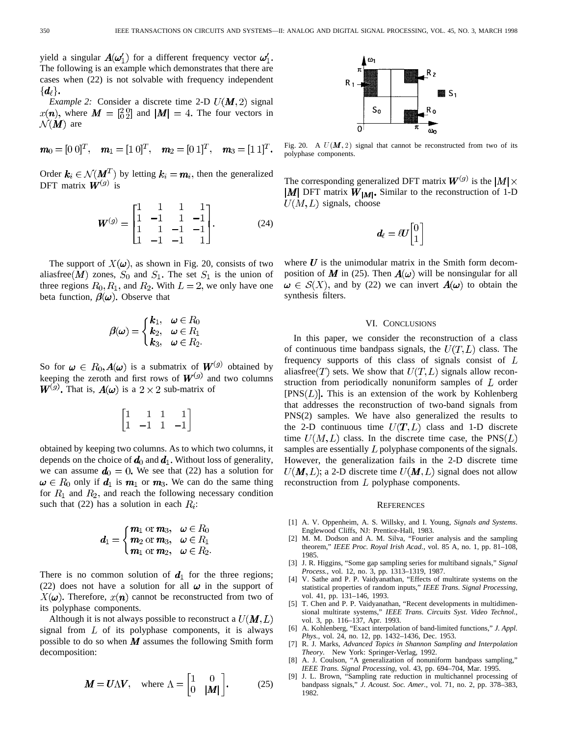yield a singular  $A(\omega'_1)$  for a different frequency vector  $\omega'_1$ . The following is an example which demonstrates that there are cases when (22) is not solvable with frequency independent  $\{d_\ell\}.$ 

*Example 2:* Consider a discrete time 2-D  $U(M, 2)$  signal  $x(n)$ , where  $M = \begin{bmatrix} 2 & 0 \\ 0 & 2 \end{bmatrix}$  and  $|M| = 4$ . The four vectors in  $\mathcal{N}(\mathbf{M})$  are

$$
\mathbf{m}_0 = [0 \ 0]^T, \quad \mathbf{m}_1 = [1 \ 0]^T, \quad \mathbf{m}_2 = [0 \ 1]^T, \quad \mathbf{m}_3 = [1 \ 1]^T.
$$

Order  $\mathbf{k}_i \in \mathcal{N}(M^T)$  by letting  $\mathbf{k}_i = \mathbf{m}_i$ , then the generalized DFT matrix  $W^{(g)}$  is

$$
\boldsymbol{W}^{(g)} = \begin{bmatrix} 1 & 1 & 1 & 1 \\ 1 & -1 & 1 & -1 \\ 1 & 1 & -1 & -1 \\ 1 & -1 & -1 & 1 \end{bmatrix} . \tag{24}
$$

The support of  $X(\omega)$ , as shown in Fig. 20, consists of two aliasfree  $(M)$  zones,  $S_0$  and  $S_1$ . The set  $S_1$  is the union of three regions  $R_0, R_1$ , and  $R_2$ . With  $L = 2$ , we only have one beta function,  $\beta(\omega)$ . Observe that

$$
\beta(\omega) = \begin{cases} k_1, & \omega \in R_0 \\ k_2, & \omega \in R_1 \\ k_3, & \omega \in R_2. \end{cases}
$$

So for  $\omega \in R_0, A(\omega)$  is a submatrix of  $W^{(g)}$  obtained by keeping the zeroth and first rows of  $W^{(g)}$  and two columns  $W^{(g)}$ . That is,  $A(\omega)$  is a  $2 \times 2$  sub-matrix of

$$
\begin{bmatrix} 1 & 1 & 1 & 1 \\ 1 & -1 & 1 & -1 \end{bmatrix}
$$

obtained by keeping two columns. As to which two columns, it depends on the choice of  $\boldsymbol{d}_0$  and  $\boldsymbol{d}_1$ . Without loss of generality, we can assume  $d_0 = 0$ . We see that (22) has a solution for  $\omega \in R_0$  only if  $d_1$  is  $m_1$  or  $m_3$ . We can do the same thing for  $R_1$  and  $R_2$ , and reach the following necessary condition such that (22) has a solution in each  $R_i$ :

$$
d_1 = \begin{cases} \mathbf{m}_1 \text{ or } \mathbf{m}_3, & \omega \in R_0 \\ \mathbf{m}_2 \text{ or } \mathbf{m}_3, & \omega \in R_1 \\ \mathbf{m}_1 \text{ or } \mathbf{m}_2, & \omega \in R_2. \end{cases}
$$

There is no common solution of  $d_1$  for the three regions; (22) does not have a solution for all  $\omega$  in the support of  $X(\boldsymbol{\omega})$ . Therefore,  $x(\boldsymbol{n})$  cannot be reconstructed from two of its polyphase components.

Although it is not always possible to reconstruct a  $U(M, L)$ signal from  $L$  of its polyphase components, it is always possible to do so when  $M$  assumes the following Smith form decomposition:

$$
\mathbf{M} = \mathbf{U}\Lambda\mathbf{V}, \quad \text{where } \Lambda = \begin{bmatrix} 1 & 0 \\ 0 & |\mathbf{M}| \end{bmatrix}. \tag{25}
$$



Fig. 20. A  $U(M, 2)$  signal that cannot be reconstructed from two of its polyphase components.

The corresponding generalized DFT matrix  $W^{(g)}$  is the  $|M| \times$  $|M|$  DFT matrix  $W_{|M|}$ . Similar to the reconstruction of 1-D  $U(M,L)$  signals, choose

$$
\boldsymbol{d}_{\ell} = \ell \boldsymbol{U} \begin{bmatrix} 0 \\ 1 \end{bmatrix}
$$

where  $U$  is the unimodular matrix in the Smith form decomposition of M in (25). Then  $A(\omega)$  will be nonsingular for all  $\omega \in S(X)$ , and by (22) we can invert  $A(\omega)$  to obtain the synthesis filters.

## VI. CONCLUSIONS

In this paper, we consider the reconstruction of a class of continuous time bandpass signals, the  $U(T, L)$  class. The frequency supports of this class of signals consist of  $L$ aliasfree  $(T)$  sets. We show that  $U(T, L)$  signals allow reconstruction from periodically nonuniform samples of  $L$  order  $[PNS(L)]$ . This is an extension of the work by Kohlenberg that addresses the reconstruction of two-band signals from PNS(2) samples. We have also generalized the results to the 2-D continuous time  $U(T, L)$  class and 1-D discrete time  $U(M, L)$  class. In the discrete time case, the PNS(L) samples are essentially  $L$  polyphase components of the signals. However, the generalization fails in the 2-D discrete time  $U(M, L)$ ; a 2-D discrete time  $U(M, L)$  signal does not allow reconstruction from  $L$  polyphase components.

#### **REFERENCES**

- [1] A. V. Oppenheim, A. S. Willsky, and I. Young, *Signals and Systems*. Englewood Cliffs, NJ: Prentice-Hall, 1983.
- [2] M. M. Dodson and A. M. Silva, "Fourier analysis and the sampling theorem," *IEEE Proc. Royal Irish Acad.,* vol. 85 A, no. 1, pp. 81–108, 1985.
- [3] J. R. Higgins, "Some gap sampling series for multiband signals," *Signal Process.,* vol. 12, no. 3, pp. 1313–1319, 1987.
- [4] V. Sathe and P. P. Vaidyanathan, "Effects of multirate systems on the statistical properties of random inputs," *IEEE Trans. Signal Processing,* vol. 41, pp. 131–146, 1993.
- [5] T. Chen and P. P. Vaidyanathan, "Recent developments in multidimensional multirate systems," *IEEE Trans. Circuits Syst. Video Technol.,* vol. 3, pp. 116–137, Apr. 1993.
- [6] A. Kohlenberg, "Exact interpolation of band-limited functions," *J. Appl. Phys.,* vol. 24, no. 12, pp. 1432–1436, Dec. 1953.
- [7] R. J. Marks, *Advanced Topics in Shannon Sampling and Interpolation Theory*. New York: Springer-Verlag, 1992.
- [8] A. J. Coulson, "A generalization of nonuniform bandpass sampling," *IEEE Trans. Signal Processing,* vol. 43, pp. 694–704, Mar. 1995.
- [9] J. L. Brown, "Sampling rate reduction in multichannel processing of bandpass signals," *J. Acoust. Soc. Amer.,* vol. 71, no. 2, pp. 378–383, 1982.